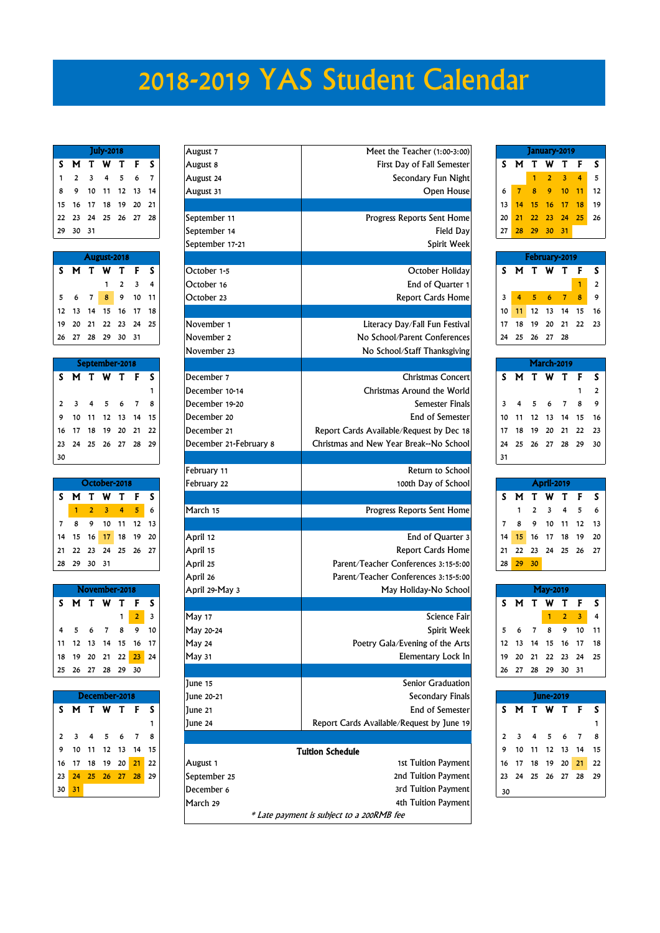## 2018-2019 YAS Student Calendar

| <b>July-2018</b>            |  |  |  |  |  |  |  |  |  |  |
|-----------------------------|--|--|--|--|--|--|--|--|--|--|
| S M T W T F S               |  |  |  |  |  |  |  |  |  |  |
| $1 \t2 \t3 \t4 \t5 \t6 \t7$ |  |  |  |  |  |  |  |  |  |  |
| 8 9 10 11 12 13 14          |  |  |  |  |  |  |  |  |  |  |
| 15 16 17 18 19 20 21        |  |  |  |  |  |  |  |  |  |  |
| 22  23  24  25  26  27  28  |  |  |  |  |  |  |  |  |  |  |
| 29 30 31                    |  |  |  |  |  |  |  |  |  |  |

| August-2018 |  |  |                                                                                           |  |  |  |  |  |  |  |
|-------------|--|--|-------------------------------------------------------------------------------------------|--|--|--|--|--|--|--|
|             |  |  | SMTWTFS                                                                                   |  |  |  |  |  |  |  |
|             |  |  | $\begin{array}{ccccccc} & & & & 1 & 2 & 3 & 4 \\ 5 & 6 & 7 & 8 & 9 & 10 & 11 \end{array}$ |  |  |  |  |  |  |  |
|             |  |  |                                                                                           |  |  |  |  |  |  |  |
|             |  |  | $12$ $13$ $14$ $\overline{15}$ $16$ $17$ $18$                                             |  |  |  |  |  |  |  |
|             |  |  | 19 20 21 22 23 24 25                                                                      |  |  |  |  |  |  |  |
|             |  |  | 26 27 28 29 30 31                                                                         |  |  |  |  |  |  |  |

|    | September-2018 |  |                   |  |  |   |  |  |  |  |  |
|----|----------------|--|-------------------|--|--|---|--|--|--|--|--|
| S  | <b>MTWTF</b>   |  |                   |  |  | s |  |  |  |  |  |
|    |                |  |                   |  |  | 1 |  |  |  |  |  |
|    | 2 3 4 5 6 7    |  |                   |  |  | 8 |  |  |  |  |  |
| 9  |                |  | 10 11 12 13 14 15 |  |  |   |  |  |  |  |  |
| 16 |                |  | 17 18 19 20 21 22 |  |  |   |  |  |  |  |  |
| 23 |                |  | 24 25 26 27 28 29 |  |  |   |  |  |  |  |  |
| 30 |                |  |                   |  |  |   |  |  |  |  |  |

|    | October-2018         |          |                   |     |              |              |  |  |  |  |  |
|----|----------------------|----------|-------------------|-----|--------------|--------------|--|--|--|--|--|
| S  | М                    | T.       |                   | W T | $\mathbf{F}$ | $\mathsf{S}$ |  |  |  |  |  |
|    |                      |          | 2 3 4 5           |     |              | 6            |  |  |  |  |  |
|    | 8                    |          | 9 10 11 12 13     |     |              |              |  |  |  |  |  |
|    | 14 15 16 17 18 19 20 |          |                   |     |              |              |  |  |  |  |  |
| 21 |                      |          | 22 23 24 25 26 27 |     |              |              |  |  |  |  |  |
| 28 |                      | 29 30 31 |                   |     |              |              |  |  |  |  |  |

| November-2018 |  |                      |  |            |   |  |  |  |  |  |
|---------------|--|----------------------|--|------------|---|--|--|--|--|--|
|               |  | SMTWTFS              |  |            |   |  |  |  |  |  |
|               |  |                      |  | $\sqrt{2}$ | 3 |  |  |  |  |  |
|               |  | 4 5 6 7 8 9 10       |  |            |   |  |  |  |  |  |
|               |  | 11 12 13 14 15 16 17 |  |            |   |  |  |  |  |  |
|               |  | 18 19 20 21 22 23 24 |  |            |   |  |  |  |  |  |
|               |  | 25 26 27 28 29 30    |  |            |   |  |  |  |  |  |
|               |  |                      |  |            |   |  |  |  |  |  |

|    | December-2018        |  |                   |                      |  |   |  |  |  |  |  |  |
|----|----------------------|--|-------------------|----------------------|--|---|--|--|--|--|--|--|
| S. |                      |  | M T W T F         |                      |  | S |  |  |  |  |  |  |
|    |                      |  |                   |                      |  | 1 |  |  |  |  |  |  |
|    | 2 3 4 5 6 7          |  |                   |                      |  | 8 |  |  |  |  |  |  |
| 9  |                      |  | 10 11 12 13 14 15 |                      |  |   |  |  |  |  |  |  |
|    | 23 24 25 26 27 28 29 |  |                   | 16 17 18 19 20 21 22 |  |   |  |  |  |  |  |  |
|    |                      |  |                   |                      |  |   |  |  |  |  |  |  |
| 30 | 31                   |  |                   |                      |  |   |  |  |  |  |  |  |

| <b>July-2018</b>    |                                                                                   |                                                                                                                                           |                                                                                                                                                              | August 7                                                                                                                      | Meet the Teacher (1:00-3:00)                                                                                                                                                                                                                                                                                                   |                                                                                                                                                                                                                                                                                                                                                                                                                                                                                                                                                                                                                                                                                                                                              |                                                                             |                                                                                | January-2019                                                           |                                                                        |                                                                                                                                                                                                                       |
|---------------------|-----------------------------------------------------------------------------------|-------------------------------------------------------------------------------------------------------------------------------------------|--------------------------------------------------------------------------------------------------------------------------------------------------------------|-------------------------------------------------------------------------------------------------------------------------------|--------------------------------------------------------------------------------------------------------------------------------------------------------------------------------------------------------------------------------------------------------------------------------------------------------------------------------|----------------------------------------------------------------------------------------------------------------------------------------------------------------------------------------------------------------------------------------------------------------------------------------------------------------------------------------------------------------------------------------------------------------------------------------------------------------------------------------------------------------------------------------------------------------------------------------------------------------------------------------------------------------------------------------------------------------------------------------------|-----------------------------------------------------------------------------|--------------------------------------------------------------------------------|------------------------------------------------------------------------|------------------------------------------------------------------------|-----------------------------------------------------------------------------------------------------------------------------------------------------------------------------------------------------------------------|
| W                   |                                                                                   | F                                                                                                                                         | s                                                                                                                                                            | August 8                                                                                                                      | First Day of Fall Semester                                                                                                                                                                                                                                                                                                     | S.                                                                                                                                                                                                                                                                                                                                                                                                                                                                                                                                                                                                                                                                                                                                           |                                                                             | Т                                                                              | W                                                                      | Τ                                                                      | F                                                                                                                                                                                                                     |
|                     | 5                                                                                 | 6                                                                                                                                         | 7                                                                                                                                                            | August 24                                                                                                                     | Secondary Fun Night                                                                                                                                                                                                                                                                                                            |                                                                                                                                                                                                                                                                                                                                                                                                                                                                                                                                                                                                                                                                                                                                              |                                                                             |                                                                                | $\overline{2}$                                                         | 3                                                                      | 4                                                                                                                                                                                                                     |
| 10<br>11            | 12                                                                                |                                                                                                                                           |                                                                                                                                                              | August 31                                                                                                                     | Open House                                                                                                                                                                                                                                                                                                                     | 6                                                                                                                                                                                                                                                                                                                                                                                                                                                                                                                                                                                                                                                                                                                                            | $\overline{7}$                                                              | 8                                                                              | 9                                                                      | 10                                                                     | -11                                                                                                                                                                                                                   |
| 17<br>18            | 19                                                                                | 20                                                                                                                                        | 21                                                                                                                                                           |                                                                                                                               |                                                                                                                                                                                                                                                                                                                                | 13                                                                                                                                                                                                                                                                                                                                                                                                                                                                                                                                                                                                                                                                                                                                           | 14                                                                          | 15                                                                             | 16                                                                     | 17                                                                     | 18                                                                                                                                                                                                                    |
| 24<br>25            | 26                                                                                |                                                                                                                                           |                                                                                                                                                              | September 11                                                                                                                  |                                                                                                                                                                                                                                                                                                                                | 20                                                                                                                                                                                                                                                                                                                                                                                                                                                                                                                                                                                                                                                                                                                                           | 21                                                                          | 22                                                                             | 23                                                                     | 24                                                                     | 25                                                                                                                                                                                                                    |
| 31                  |                                                                                   |                                                                                                                                           |                                                                                                                                                              |                                                                                                                               |                                                                                                                                                                                                                                                                                                                                | 27                                                                                                                                                                                                                                                                                                                                                                                                                                                                                                                                                                                                                                                                                                                                           | 28                                                                          | 29                                                                             | 30                                                                     |                                                                        |                                                                                                                                                                                                                       |
|                     |                                                                                   |                                                                                                                                           |                                                                                                                                                              |                                                                                                                               |                                                                                                                                                                                                                                                                                                                                |                                                                                                                                                                                                                                                                                                                                                                                                                                                                                                                                                                                                                                                                                                                                              |                                                                             |                                                                                |                                                                        |                                                                        |                                                                                                                                                                                                                       |
|                     |                                                                                   |                                                                                                                                           |                                                                                                                                                              |                                                                                                                               |                                                                                                                                                                                                                                                                                                                                |                                                                                                                                                                                                                                                                                                                                                                                                                                                                                                                                                                                                                                                                                                                                              |                                                                             |                                                                                |                                                                        |                                                                        |                                                                                                                                                                                                                       |
| W<br>T              | Т                                                                                 | F                                                                                                                                         | s                                                                                                                                                            | October 1-5                                                                                                                   |                                                                                                                                                                                                                                                                                                                                | s                                                                                                                                                                                                                                                                                                                                                                                                                                                                                                                                                                                                                                                                                                                                            | M                                                                           | T                                                                              | W                                                                      | Т                                                                      | F                                                                                                                                                                                                                     |
| 1                   | $\overline{2}$                                                                    | $\overline{\mathbf{3}}$                                                                                                                   | 4                                                                                                                                                            | October 16                                                                                                                    |                                                                                                                                                                                                                                                                                                                                |                                                                                                                                                                                                                                                                                                                                                                                                                                                                                                                                                                                                                                                                                                                                              |                                                                             |                                                                                |                                                                        |                                                                        |                                                                                                                                                                                                                       |
| 8                   | 9                                                                                 | 10                                                                                                                                        |                                                                                                                                                              | October 23                                                                                                                    |                                                                                                                                                                                                                                                                                                                                | 3                                                                                                                                                                                                                                                                                                                                                                                                                                                                                                                                                                                                                                                                                                                                            | $\overline{4}$                                                              | 5                                                                              | 6                                                                      | $\overline{7}$                                                         | 8                                                                                                                                                                                                                     |
| 15<br>14            | 16                                                                                | -17                                                                                                                                       | 18                                                                                                                                                           |                                                                                                                               |                                                                                                                                                                                                                                                                                                                                | 10                                                                                                                                                                                                                                                                                                                                                                                                                                                                                                                                                                                                                                                                                                                                           | 11                                                                          | 12                                                                             | - 13                                                                   | 14                                                                     | 15                                                                                                                                                                                                                    |
| 21                  |                                                                                   |                                                                                                                                           |                                                                                                                                                              |                                                                                                                               |                                                                                                                                                                                                                                                                                                                                |                                                                                                                                                                                                                                                                                                                                                                                                                                                                                                                                                                                                                                                                                                                                              |                                                                             |                                                                                |                                                                        |                                                                        | 22                                                                                                                                                                                                                    |
|                     |                                                                                   |                                                                                                                                           |                                                                                                                                                              |                                                                                                                               |                                                                                                                                                                                                                                                                                                                                |                                                                                                                                                                                                                                                                                                                                                                                                                                                                                                                                                                                                                                                                                                                                              |                                                                             |                                                                                |                                                                        |                                                                        |                                                                                                                                                                                                                       |
|                     |                                                                                   |                                                                                                                                           |                                                                                                                                                              |                                                                                                                               |                                                                                                                                                                                                                                                                                                                                |                                                                                                                                                                                                                                                                                                                                                                                                                                                                                                                                                                                                                                                                                                                                              |                                                                             |                                                                                |                                                                        |                                                                        |                                                                                                                                                                                                                       |
|                     |                                                                                   |                                                                                                                                           |                                                                                                                                                              |                                                                                                                               |                                                                                                                                                                                                                                                                                                                                |                                                                                                                                                                                                                                                                                                                                                                                                                                                                                                                                                                                                                                                                                                                                              |                                                                             |                                                                                |                                                                        |                                                                        |                                                                                                                                                                                                                       |
|                     |                                                                                   |                                                                                                                                           |                                                                                                                                                              |                                                                                                                               |                                                                                                                                                                                                                                                                                                                                |                                                                                                                                                                                                                                                                                                                                                                                                                                                                                                                                                                                                                                                                                                                                              |                                                                             |                                                                                |                                                                        |                                                                        | F                                                                                                                                                                                                                     |
|                     |                                                                                   |                                                                                                                                           |                                                                                                                                                              |                                                                                                                               |                                                                                                                                                                                                                                                                                                                                |                                                                                                                                                                                                                                                                                                                                                                                                                                                                                                                                                                                                                                                                                                                                              |                                                                             |                                                                                |                                                                        |                                                                        | 1                                                                                                                                                                                                                     |
|                     |                                                                                   |                                                                                                                                           |                                                                                                                                                              |                                                                                                                               |                                                                                                                                                                                                                                                                                                                                |                                                                                                                                                                                                                                                                                                                                                                                                                                                                                                                                                                                                                                                                                                                                              |                                                                             |                                                                                |                                                                        |                                                                        | 8                                                                                                                                                                                                                     |
|                     |                                                                                   |                                                                                                                                           |                                                                                                                                                              |                                                                                                                               |                                                                                                                                                                                                                                                                                                                                |                                                                                                                                                                                                                                                                                                                                                                                                                                                                                                                                                                                                                                                                                                                                              |                                                                             |                                                                                |                                                                        |                                                                        | -15                                                                                                                                                                                                                   |
|                     |                                                                                   |                                                                                                                                           |                                                                                                                                                              |                                                                                                                               |                                                                                                                                                                                                                                                                                                                                |                                                                                                                                                                                                                                                                                                                                                                                                                                                                                                                                                                                                                                                                                                                                              |                                                                             |                                                                                |                                                                        |                                                                        |                                                                                                                                                                                                                       |
|                     |                                                                                   |                                                                                                                                           |                                                                                                                                                              |                                                                                                                               |                                                                                                                                                                                                                                                                                                                                |                                                                                                                                                                                                                                                                                                                                                                                                                                                                                                                                                                                                                                                                                                                                              |                                                                             |                                                                                |                                                                        |                                                                        | 22                                                                                                                                                                                                                    |
|                     |                                                                                   |                                                                                                                                           |                                                                                                                                                              |                                                                                                                               |                                                                                                                                                                                                                                                                                                                                |                                                                                                                                                                                                                                                                                                                                                                                                                                                                                                                                                                                                                                                                                                                                              |                                                                             |                                                                                |                                                                        |                                                                        | -29                                                                                                                                                                                                                   |
|                     |                                                                                   |                                                                                                                                           |                                                                                                                                                              |                                                                                                                               |                                                                                                                                                                                                                                                                                                                                |                                                                                                                                                                                                                                                                                                                                                                                                                                                                                                                                                                                                                                                                                                                                              |                                                                             |                                                                                |                                                                        |                                                                        |                                                                                                                                                                                                                       |
|                     |                                                                                   |                                                                                                                                           |                                                                                                                                                              |                                                                                                                               |                                                                                                                                                                                                                                                                                                                                |                                                                                                                                                                                                                                                                                                                                                                                                                                                                                                                                                                                                                                                                                                                                              |                                                                             |                                                                                |                                                                        |                                                                        |                                                                                                                                                                                                                       |
|                     |                                                                                   |                                                                                                                                           |                                                                                                                                                              |                                                                                                                               |                                                                                                                                                                                                                                                                                                                                |                                                                                                                                                                                                                                                                                                                                                                                                                                                                                                                                                                                                                                                                                                                                              |                                                                             |                                                                                |                                                                        |                                                                        |                                                                                                                                                                                                                       |
|                     |                                                                                   |                                                                                                                                           |                                                                                                                                                              |                                                                                                                               |                                                                                                                                                                                                                                                                                                                                |                                                                                                                                                                                                                                                                                                                                                                                                                                                                                                                                                                                                                                                                                                                                              |                                                                             |                                                                                |                                                                        |                                                                        | F                                                                                                                                                                                                                     |
|                     |                                                                                   |                                                                                                                                           |                                                                                                                                                              |                                                                                                                               |                                                                                                                                                                                                                                                                                                                                |                                                                                                                                                                                                                                                                                                                                                                                                                                                                                                                                                                                                                                                                                                                                              |                                                                             |                                                                                |                                                                        |                                                                        | 5                                                                                                                                                                                                                     |
|                     |                                                                                   |                                                                                                                                           |                                                                                                                                                              |                                                                                                                               |                                                                                                                                                                                                                                                                                                                                |                                                                                                                                                                                                                                                                                                                                                                                                                                                                                                                                                                                                                                                                                                                                              |                                                                             |                                                                                |                                                                        |                                                                        | - 12                                                                                                                                                                                                                  |
| 16                  |                                                                                   |                                                                                                                                           |                                                                                                                                                              |                                                                                                                               |                                                                                                                                                                                                                                                                                                                                |                                                                                                                                                                                                                                                                                                                                                                                                                                                                                                                                                                                                                                                                                                                                              |                                                                             |                                                                                |                                                                        |                                                                        | 19                                                                                                                                                                                                                    |
| 23                  |                                                                                   |                                                                                                                                           |                                                                                                                                                              |                                                                                                                               |                                                                                                                                                                                                                                                                                                                                |                                                                                                                                                                                                                                                                                                                                                                                                                                                                                                                                                                                                                                                                                                                                              |                                                                             |                                                                                |                                                                        |                                                                        | - 26                                                                                                                                                                                                                  |
| 30 31               |                                                                                   |                                                                                                                                           |                                                                                                                                                              |                                                                                                                               |                                                                                                                                                                                                                                                                                                                                |                                                                                                                                                                                                                                                                                                                                                                                                                                                                                                                                                                                                                                                                                                                                              |                                                                             |                                                                                |                                                                        |                                                                        |                                                                                                                                                                                                                       |
|                     |                                                                                   |                                                                                                                                           |                                                                                                                                                              |                                                                                                                               |                                                                                                                                                                                                                                                                                                                                |                                                                                                                                                                                                                                                                                                                                                                                                                                                                                                                                                                                                                                                                                                                                              |                                                                             |                                                                                |                                                                        |                                                                        |                                                                                                                                                                                                                       |
|                     |                                                                                   |                                                                                                                                           |                                                                                                                                                              |                                                                                                                               |                                                                                                                                                                                                                                                                                                                                |                                                                                                                                                                                                                                                                                                                                                                                                                                                                                                                                                                                                                                                                                                                                              |                                                                             |                                                                                |                                                                        |                                                                        |                                                                                                                                                                                                                       |
|                     |                                                                                   |                                                                                                                                           |                                                                                                                                                              |                                                                                                                               |                                                                                                                                                                                                                                                                                                                                |                                                                                                                                                                                                                                                                                                                                                                                                                                                                                                                                                                                                                                                                                                                                              |                                                                             |                                                                                |                                                                        |                                                                        | F                                                                                                                                                                                                                     |
|                     | 1                                                                                 | $\overline{2}$                                                                                                                            | 3                                                                                                                                                            | May 17                                                                                                                        |                                                                                                                                                                                                                                                                                                                                |                                                                                                                                                                                                                                                                                                                                                                                                                                                                                                                                                                                                                                                                                                                                              |                                                                             |                                                                                |                                                                        |                                                                        | 3                                                                                                                                                                                                                     |
| $\overline{7}$<br>6 | 8                                                                                 |                                                                                                                                           | 10                                                                                                                                                           |                                                                                                                               |                                                                                                                                                                                                                                                                                                                                |                                                                                                                                                                                                                                                                                                                                                                                                                                                                                                                                                                                                                                                                                                                                              | 6                                                                           |                                                                                | $\bullet$                                                              |                                                                        |                                                                                                                                                                                                                       |
|                     |                                                                                   |                                                                                                                                           |                                                                                                                                                              | May 24                                                                                                                        |                                                                                                                                                                                                                                                                                                                                |                                                                                                                                                                                                                                                                                                                                                                                                                                                                                                                                                                                                                                                                                                                                              |                                                                             | 14                                                                             | 15                                                                     |                                                                        | 17                                                                                                                                                                                                                    |
|                     | 22                                                                                |                                                                                                                                           |                                                                                                                                                              |                                                                                                                               |                                                                                                                                                                                                                                                                                                                                | 19                                                                                                                                                                                                                                                                                                                                                                                                                                                                                                                                                                                                                                                                                                                                           | 20                                                                          | 21                                                                             | 22                                                                     |                                                                        | - 24                                                                                                                                                                                                                  |
|                     |                                                                                   |                                                                                                                                           |                                                                                                                                                              |                                                                                                                               |                                                                                                                                                                                                                                                                                                                                | 26                                                                                                                                                                                                                                                                                                                                                                                                                                                                                                                                                                                                                                                                                                                                           |                                                                             | 28                                                                             |                                                                        |                                                                        |                                                                                                                                                                                                                       |
|                     |                                                                                   |                                                                                                                                           |                                                                                                                                                              | June 15                                                                                                                       | Senior Graduation                                                                                                                                                                                                                                                                                                              |                                                                                                                                                                                                                                                                                                                                                                                                                                                                                                                                                                                                                                                                                                                                              |                                                                             |                                                                                |                                                                        |                                                                        |                                                                                                                                                                                                                       |
| December-2018       |                                                                                   |                                                                                                                                           |                                                                                                                                                              | June 20-21                                                                                                                    | <b>Secondary Finals</b>                                                                                                                                                                                                                                                                                                        |                                                                                                                                                                                                                                                                                                                                                                                                                                                                                                                                                                                                                                                                                                                                              |                                                                             |                                                                                | <b>June-2019</b>                                                       |                                                                        |                                                                                                                                                                                                                       |
|                     |                                                                                   |                                                                                                                                           | S                                                                                                                                                            | June 21                                                                                                                       | <b>End of Semester</b>                                                                                                                                                                                                                                                                                                         | s                                                                                                                                                                                                                                                                                                                                                                                                                                                                                                                                                                                                                                                                                                                                            | M                                                                           |                                                                                | T W T                                                                  |                                                                        | F                                                                                                                                                                                                                     |
| <b>MTWTF</b>        |                                                                                   |                                                                                                                                           |                                                                                                                                                              | June 24                                                                                                                       | Report Cards Available/Request by June 19                                                                                                                                                                                                                                                                                      |                                                                                                                                                                                                                                                                                                                                                                                                                                                                                                                                                                                                                                                                                                                                              |                                                                             |                                                                                |                                                                        |                                                                        |                                                                                                                                                                                                                       |
|                     |                                                                                   |                                                                                                                                           | 1                                                                                                                                                            |                                                                                                                               |                                                                                                                                                                                                                                                                                                                                |                                                                                                                                                                                                                                                                                                                                                                                                                                                                                                                                                                                                                                                                                                                                              |                                                                             |                                                                                |                                                                        |                                                                        |                                                                                                                                                                                                                       |
| 5                   | 6                                                                                 | 7                                                                                                                                         | 8                                                                                                                                                            |                                                                                                                               |                                                                                                                                                                                                                                                                                                                                | 2                                                                                                                                                                                                                                                                                                                                                                                                                                                                                                                                                                                                                                                                                                                                            |                                                                             |                                                                                | 5                                                                      | 6                                                                      | 7                                                                                                                                                                                                                     |
| 12<br>11            | 13                                                                                | - 14                                                                                                                                      | 15                                                                                                                                                           |                                                                                                                               | <b>Tuition Schedule</b>                                                                                                                                                                                                                                                                                                        | 9                                                                                                                                                                                                                                                                                                                                                                                                                                                                                                                                                                                                                                                                                                                                            | 10                                                                          | 11                                                                             | 12                                                                     | - 13                                                                   | 14                                                                                                                                                                                                                    |
| 18 19 20            |                                                                                   | 21                                                                                                                                        | 22                                                                                                                                                           | August 1                                                                                                                      | 1st Tuition Payment                                                                                                                                                                                                                                                                                                            | 16                                                                                                                                                                                                                                                                                                                                                                                                                                                                                                                                                                                                                                                                                                                                           | 17                                                                          | 18                                                                             | 19                                                                     | 20                                                                     |                                                                                                                                                                                                                       |
| 25 26 27 28         |                                                                                   |                                                                                                                                           | 29                                                                                                                                                           | September 25                                                                                                                  | 2nd Tuition Payment                                                                                                                                                                                                                                                                                                            | 23                                                                                                                                                                                                                                                                                                                                                                                                                                                                                                                                                                                                                                                                                                                                           | 24                                                                          |                                                                                | 25 26 27 28 29                                                         |                                                                        | 21                                                                                                                                                                                                                    |
|                     |                                                                                   |                                                                                                                                           |                                                                                                                                                              | December 6                                                                                                                    | 3rd Tuition Payment                                                                                                                                                                                                                                                                                                            | 30                                                                                                                                                                                                                                                                                                                                                                                                                                                                                                                                                                                                                                                                                                                                           |                                                                             |                                                                                |                                                                        |                                                                        |                                                                                                                                                                                                                       |
|                     | 22<br>28 29<br>T W<br>5<br>12<br>11<br>18<br>19<br>25<br>W<br>3<br>10<br>-17<br>w | August-2018<br>23<br>30<br>$\mathbf T$<br>6<br>13<br>20<br>26 27<br>Т<br>$\overline{4}$<br>18<br>24<br>25<br>Т<br>11 12 13 14 15<br>20 21 | -13<br>27<br>24<br>- 31<br>September-2018<br>F<br>7<br>-14<br>21<br>28<br>October-2018<br>F<br>5<br>19<br>26<br>November-2018<br>F<br>9<br>25 26 27 28 29 30 | -14<br>-28<br>- 11<br>25<br>S<br>1<br>8<br>15<br>22<br>-29<br>S<br>6<br>11 12 13<br>20<br>- 27<br>S<br>16 17<br>$23 \quad 24$ | September 14<br>September 17-21<br>November 1<br>November 2<br>November 23<br>December 7<br>December 10-14<br>December 19-20<br>December 20<br>December 21<br>December 21-February 8<br>February 11<br>February 22<br>March 15<br>April 12<br>April 15<br>April 25<br>April 26<br>April 29-May 3<br>May 20-24<br><b>May 31</b> | Progress Reports Sent Home<br>Field Day<br>Spirit Week<br>October Holiday<br>End of Quarter 1<br>Report Cards Home<br>Literacy Day/Fall Fun Festival<br>No School/Parent Conferences<br>No School/Staff Thanksgiving<br><b>Christmas Concert</b><br>Christmas Around the World<br><b>Semester Finals</b><br>End of Semester<br>Report Cards Available/Request by Dec 18<br>Christmas and New Year Break--No School<br>Return to School<br>100th Day of School<br>Progress Reports Sent Home<br>End of Quarter 3<br>Report Cards Home<br>Parent/Teacher Conferences 3:15-5:00<br>Parent/Teacher Conferences 3:15-5:00<br>May Holiday-No School<br><b>Science Fair</b><br>Spirit Week<br>Poetry Gala/Evening of the Arts<br>Elementary Lock In | 17<br>24<br>s<br>3<br>10<br>17<br>24<br>31<br>s<br>7<br>14<br>21<br>28<br>s | M<br>18<br>25<br>M<br>11<br>18<br>25<br>м<br>8<br>15<br>22<br>29<br>M<br>12 13 | 19<br>26<br>Т<br>12<br>19<br>26<br>Т<br>9<br>16<br>23<br>30<br>Т<br>27 | 20<br>27<br>W<br>6<br>13<br>20<br>27<br>w<br>3<br>10<br>17<br>-24<br>W | 31<br>February-2019<br>21<br>- 28<br><b>March-2019</b><br>Т<br>7<br>14<br>21<br>28<br><b>April-2019</b><br>т<br>4<br>11<br>18<br>- 25<br><b>May-2019</b><br>Т<br>$\overline{2}$<br>$0$ 10<br>- 16<br>- 23<br>29 30 31 |

|    | January-2019 |       |                |    |    |    |  |  |  |  |  |
|----|--------------|-------|----------------|----|----|----|--|--|--|--|--|
| S  | M            | T.    | w              | T  | F  | S  |  |  |  |  |  |
|    |              |       | $\overline{2}$ |    | 4  | 5  |  |  |  |  |  |
| 6  |              | 8     |                | 10 | 11 | 12 |  |  |  |  |  |
| 13 | 14           |       | 15 16 17       |    | 18 | 19 |  |  |  |  |  |
| 20 | 21           |       | 22 23 24       |    | 25 | 26 |  |  |  |  |  |
| 27 | 28           | 29 30 |                | 31 |    |    |  |  |  |  |  |

|                | February-2019 |  |             |    |                   |                |  |  |  |  |  |
|----------------|---------------|--|-------------|----|-------------------|----------------|--|--|--|--|--|
| S.             |               |  | <b>MTWT</b> |    | $\mathbf{F}$      | S              |  |  |  |  |  |
|                |               |  |             |    |                   | $\overline{2}$ |  |  |  |  |  |
| $\overline{3}$ |               |  | 5 6 7       |    | 8                 | 9              |  |  |  |  |  |
|                |               |  |             |    | 10 11 12 13 14 15 | 16             |  |  |  |  |  |
| 17             |               |  |             |    | 18 19 20 21 22 23 |                |  |  |  |  |  |
| 24             |               |  |             | 28 |                   |                |  |  |  |  |  |

|                | March-2019     |  |             |  |                   |                |  |  |  |  |  |
|----------------|----------------|--|-------------|--|-------------------|----------------|--|--|--|--|--|
| S              |                |  | <b>MTWT</b> |  | F                 | S              |  |  |  |  |  |
|                |                |  |             |  | 1                 | $\overline{2}$ |  |  |  |  |  |
| $\overline{3}$ | $\overline{4}$ |  | 5 6 7       |  | 8                 | 9              |  |  |  |  |  |
| 10             |                |  |             |  | 11 12 13 14 15 16 |                |  |  |  |  |  |
| 17             |                |  |             |  | 18 19 20 21 22 23 |                |  |  |  |  |  |
| 24             |                |  |             |  | 25 26 27 28 29    | 30             |  |  |  |  |  |
| 31             |                |  |             |  |                   |                |  |  |  |  |  |

|    | <b>April-2019</b> |  |  |  |                            |   |  |  |  |  |  |
|----|-------------------|--|--|--|----------------------------|---|--|--|--|--|--|
|    | <b>SMTWTF</b>     |  |  |  |                            | S |  |  |  |  |  |
|    |                   |  |  |  | 1 2 3 4 5 6                |   |  |  |  |  |  |
|    |                   |  |  |  | 8 9 10 11 12 13            |   |  |  |  |  |  |
|    |                   |  |  |  | 14 15 16 17 18 19 20       |   |  |  |  |  |  |
|    |                   |  |  |  | 21  22  23  24  25  26  27 |   |  |  |  |  |  |
| 28 | 29 30             |  |  |  |                            |   |  |  |  |  |  |

|   | <b>May-2019</b> |  |                      |  |             |   |  |  |  |  |  |  |
|---|-----------------|--|----------------------|--|-------------|---|--|--|--|--|--|--|
| S | M               |  | T W T F              |  |             | S |  |  |  |  |  |  |
|   |                 |  |                      |  | $2 \t3 \t4$ |   |  |  |  |  |  |  |
|   |                 |  | 5 6 7 8 9 10 11      |  |             |   |  |  |  |  |  |  |
|   |                 |  | 12 13 14 15 16 17 18 |  |             |   |  |  |  |  |  |  |
|   |                 |  | 19 20 21 22 23 24 25 |  |             |   |  |  |  |  |  |  |
|   |                 |  | 26 27 28 29 30 31    |  |             |   |  |  |  |  |  |  |

|                |                         | une-2019 |                            |    |
|----------------|-------------------------|----------|----------------------------|----|
| S              | M                       | T W T    | F                          | S  |
|                |                         |          |                            | 1  |
| $\overline{2}$ | $\overline{\mathbf{3}}$ | 4 5 6    |                            | 8  |
| 9              |                         |          | 10 11 12 13 14 15          |    |
| 16             |                         |          | 17 18 19 20 21 22          |    |
| 23             |                         |          | 24    25    26    27    28 | 29 |
| 30             |                         |          |                            |    |